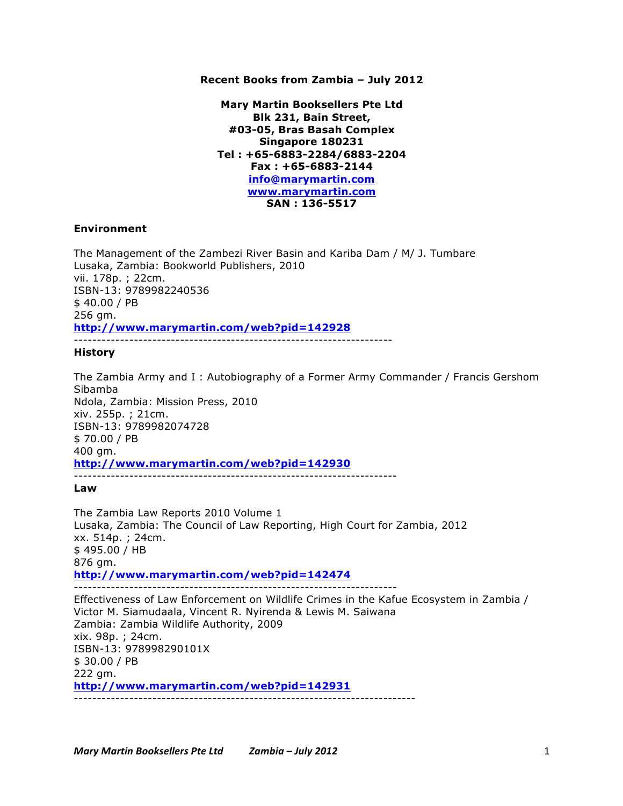# **Recent Books from Zambia – July 2012**

**Mary Martin Booksellers Pte Ltd Blk 231, Bain Street, #03-05, Bras Basah Complex Singapore 180231 Tel : +65-6883-2284/6883-2204 Fax : +65-6883-2144 info@marymartin.com www.marymartin.com SAN : 136-5517**

## **Environment**

The Management of the Zambezi River Basin and Kariba Dam / M/ J. Tumbare Lusaka, Zambia: Bookworld Publishers, 2010 vii. 178p. ; 22cm. ISBN-13: 9789982240536 \$ 40.00 / PB 256 gm. **http://www.marymartin.com/web?pid=142928** ---------------------------------------------------------------------

### **History**

The Zambia Army and I : Autobiography of a Former Army Commander / Francis Gershom Sibamba Ndola, Zambia: Mission Press, 2010 xiv. 255p. ; 21cm. ISBN-13: 9789982074728 \$ 70.00 / PB 400 gm. **http://www.marymartin.com/web?pid=142930** ----------------------------------------------------------------------

### **Law**

The Zambia Law Reports 2010 Volume 1 Lusaka, Zambia: The Council of Law Reporting, High Court for Zambia, 2012 xx. 514p. ; 24cm. \$ 495.00 / HB 876 gm. **http://www.marymartin.com/web?pid=142474** ---------------------------------------------------------------------- Effectiveness of Law Enforcement on Wildlife Crimes in the Kafue Ecosystem in Zambia / Victor M. Siamudaala, Vincent R. Nyirenda & Lewis M. Saiwana Zambia: Zambia Wildlife Authority, 2009 xix. 98p. ; 24cm. ISBN-13: 978998290101X \$ 30.00 / PB 222 gm. **http://www.marymartin.com/web?pid=142931**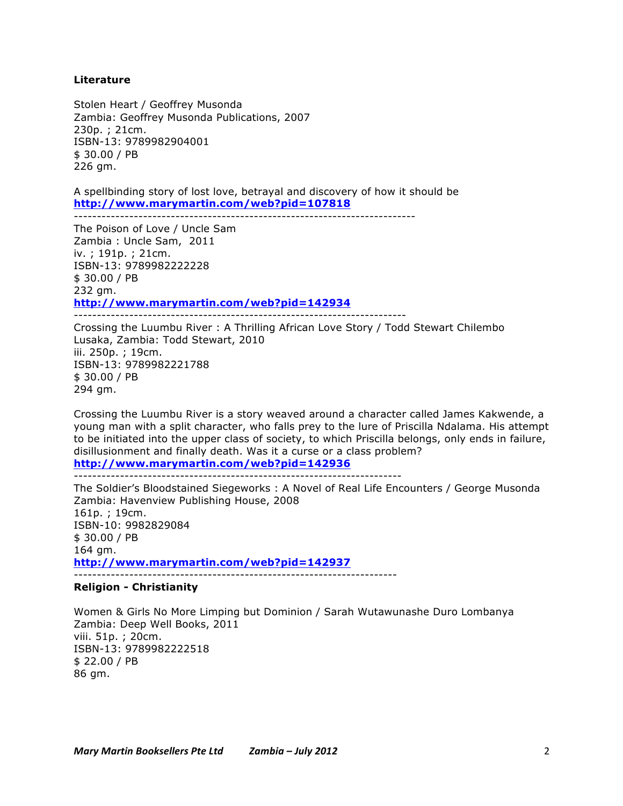# **Literature**

Stolen Heart / Geoffrey Musonda Zambia: Geoffrey Musonda Publications, 2007 230p. ; 21cm. ISBN-13: 9789982904001 \$ 30.00 / PB 226 gm.

A spellbinding story of lost love, betrayal and discovery of how it should be **http://www.marymartin.com/web?pid=107818**

--------------------------------------------------------------------------

The Poison of Love / Uncle Sam Zambia : Uncle Sam, 2011 iv. ; 191p. ; 21cm. ISBN-13: 9789982222228 \$ 30.00 / PB 232 gm. **http://www.marymartin.com/web?pid=142934** ------------------------------------------------------------------------

Crossing the Luumbu River : A Thrilling African Love Story / Todd Stewart Chilembo Lusaka, Zambia: Todd Stewart, 2010 iii. 250p. ; 19cm. ISBN-13: 9789982221788 \$ 30.00 / PB 294 gm.

Crossing the Luumbu River is a story weaved around a character called James Kakwende, a young man with a split character, who falls prey to the lure of Priscilla Ndalama. His attempt to be initiated into the upper class of society, to which Priscilla belongs, only ends in failure, disillusionment and finally death. Was it a curse or a class problem? **http://www.marymartin.com/web?pid=142936**

-----------------------------------------------------------------------

The Soldier's Bloodstained Siegeworks : A Novel of Real Life Encounters / George Musonda Zambia: Havenview Publishing House, 2008 161p. ; 19cm. ISBN-10: 9982829084 \$ 30.00 / PB 164 gm.

**http://www.marymartin.com/web?pid=142937**

----------------------------------------------------------------------

# **Religion - Christianity**

Women & Girls No More Limping but Dominion / Sarah Wutawunashe Duro Lombanya Zambia: Deep Well Books, 2011 viii. 51p. ; 20cm. ISBN-13: 9789982222518 \$ 22.00 / PB 86 gm.